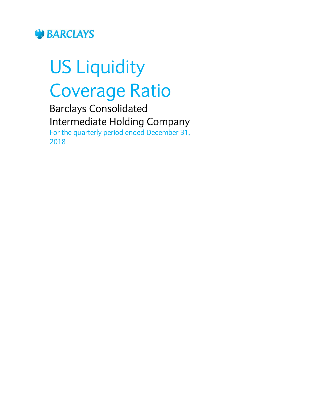

# US Liquidity Coverage Ratio

Barclays Consolidated Intermediate Holding Company For the quarterly period ended December 31, 2018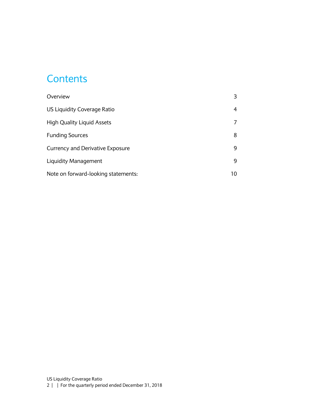#### **Contents**

| Overview                                |    |
|-----------------------------------------|----|
| US Liquidity Coverage Ratio             | 4  |
| <b>High Quality Liquid Assets</b>       |    |
| <b>Funding Sources</b>                  | 8  |
| <b>Currency and Derivative Exposure</b> | 9  |
| Liquidity Management                    | 9  |
| Note on forward-looking statements:     | 10 |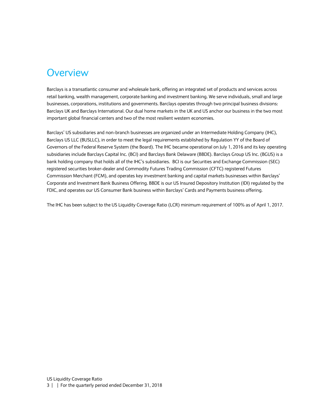#### <span id="page-2-0"></span>**Overview**

Barclays is a transatlantic consumer and wholesale bank, offering an integrated set of products and services across retail banking, wealth management, corporate banking and investment banking. We serve individuals, small and large businesses, corporations, institutions and governments. Barclays operates through two principal business divisions: Barclays UK and Barclays International. Our dual home markets in the UK and US anchor our business in the two most important global financial centers and two of the most resilient western economies.

Barclays' US subsidiaries and non-branch businesses are organized under an Intermediate Holding Company (IHC), Barclays US LLC (BUSLLC), in order to meet the legal requirements established by Regulation YY of the Board of Governors of the Federal Reserve System (the Board). The IHC became operational on July 1, 2016 and its key operating subsidiaries include Barclays Capital Inc. (BCI) and Barclays Bank Delaware (BBDE). Barclays Group US Inc. (BGUS) is a bank holding company that holds all of the IHC's subsidiaries. BCI is our Securities and Exchange Commission (SEC) registered securities broker-dealer and Commodity Futures Trading Commission (CFTC) registered Futures Commission Merchant (FCM), and operates key investment banking and capital markets businesses within Barclays' Corporate and Investment Bank Business Offering. BBDE is our US Insured Depository Institution (IDI) regulated by the FDIC, and operates our US Consumer Bank business within Barclays' Cards and Payments business offering.

The IHC has been subject to the US Liquidity Coverage Ratio (LCR) minimum requirement of 100% as of April 1, 2017.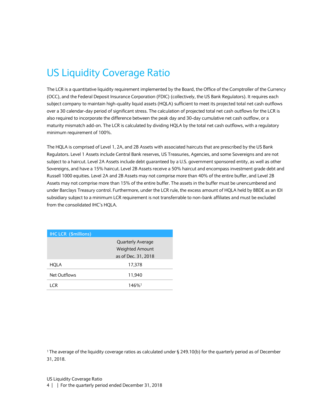# <span id="page-3-0"></span>US Liquidity Coverage Ratio

The LCR is a quantitative liquidity requirement implemented by the Board, the Office of the Comptroller of the Currency (OCC), and the Federal Deposit Insurance Corporation (FDIC) (collectively, the US Bank Regulators). It requires each subject company to maintain high-quality liquid assets (HQLA) sufficient to meet its projected total net cash outflows over a 30 calendar-day period of significant stress. The calculation of projected total net cash outflows for the LCR is also required to incorporate the difference between the peak day and 30-day cumulative net cash outflow, or a maturity mismatch add-on. The LCR is calculated by dividing HQLA by the total net cash outflows, with a regulatory minimum requirement of 100%.

The HQLA is comprised of Level 1, 2A, and 2B Assets with associated haircuts that are prescribed by the US Bank Regulators. Level 1 Assets include Central Bank reserves, US Treasuries, Agencies, and some Sovereigns and are not subject to a haircut. Level 2A Assets include debt guaranteed by a U.S. government sponsored entity, as well as other Sovereigns, and have a 15% haircut. Level 2B Assets receive a 50% haircut and encompass investment grade debt and Russell 1000 equities. Level 2A and 2B Assets may not comprise more than 40% of the entire buffer, and Level 2B Assets may not comprise more than 15% of the entire buffer. The assets in the buffer must be unencumbered and under Barclays Treasury control. Furthermore, under the LCR rule, the excess amount of HQLA held by BBDE as an IDI subsidiary subject to a minimum LCR requirement is not transferrable to non-bank affiliates and must be excluded from the consolidated IHC's HQLA.

| <b>IHC LCR (\$millions)</b> |                          |
|-----------------------------|--------------------------|
|                             | <b>Quarterly Average</b> |
|                             | <b>Weighted Amount</b>   |
|                             | as of Dec. 31, 2018      |
| HQLA                        | 17,378                   |
| Net Outflows                | 11,940                   |
| I CR                        | $146%$ <sup>1</sup>      |

<sup>1</sup>The average of the liquidity coverage ratios as calculated under § 249.10(b) for the quarterly period as of December 31, 2018.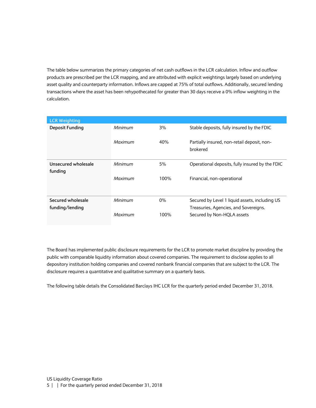The table below summarizes the primary categories of net cash outflows in the LCR calculation. Inflow and outflow products are prescribed per the LCR mapping, and are attributed with explicit weightings largely based on underlying asset quality and counterparty information. Inflows are capped at 75% of total outflows. Additionally, secured lending transactions where the asset has been rehypothecated for greater than 30 days receive a 0% inflow weighting in the calculation.

| <b>LCR Weighting</b>   |         |       |                                                         |
|------------------------|---------|-------|---------------------------------------------------------|
| <b>Deposit Funding</b> | Minimum | 3%    | Stable deposits, fully insured by the FDIC              |
|                        | Maximum | 40%   | Partially insured, non-retail deposit, non-<br>brokered |
| Unsecured wholesale    | Minimum | 5%    | Operational deposits, fully insured by the FDIC         |
| funding                |         |       |                                                         |
|                        | Maximum | 100%  | Financial, non-operational                              |
| Secured wholesale      | Minimum | $0\%$ | Secured by Level 1 liquid assets, including US          |
| funding/lending        |         |       | Treasuries, Agencies, and Sovereigns.                   |
|                        | Maximum | 100%  | Secured by Non-HQLA assets                              |

The Board has implemented public disclosure requirements for the LCR to promote market discipline by providing the public with comparable liquidity information about covered companies. The requirement to disclose applies to all depository institution holding companies and covered nonbank financial companies that are subject to the LCR. The disclosure requires a quantitative and qualitative summary on a quarterly basis.

The following table details the Consolidated Barclays IHC LCR for the quarterly period ended December 31, 2018.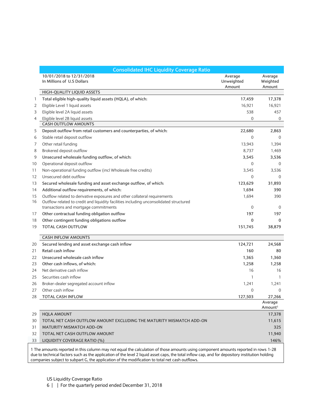|    | <b>Consolidated IHC Liquidity Coverage Ratio</b>                                                                                   |                                 |                                |  |  |  |
|----|------------------------------------------------------------------------------------------------------------------------------------|---------------------------------|--------------------------------|--|--|--|
|    | 10/01/2018 to 12/31/2018<br>In Millions of U.S Dollars                                                                             | Average<br>Unweighted<br>Amount | Average<br>Weighted<br>Amount  |  |  |  |
|    | HIGH-QUALITY LIQUID ASSETS                                                                                                         |                                 |                                |  |  |  |
| 1  | Total eligible high-quality liquid assets (HQLA), of which:                                                                        | 17,459                          | 17,378                         |  |  |  |
| 2  | Eligible Level 1 liquid assets                                                                                                     | 16,921                          | 16,921                         |  |  |  |
| 3  | Eligible level 2A liquid assets                                                                                                    | 538                             | 457                            |  |  |  |
| 4  | Eligible level 2B liquid assets                                                                                                    | 0                               | $\mathbf{0}$                   |  |  |  |
|    | <b>CASH OUTFLOW AMOUNTS</b>                                                                                                        |                                 |                                |  |  |  |
| 5  | Deposit outflow from retail customers and counterparties, of which:                                                                | 22,680                          | 2,863                          |  |  |  |
| 6  | Stable retail deposit outflow                                                                                                      | $\mathbf{0}$                    | $\mathbf 0$                    |  |  |  |
| 7  | Other retail funding                                                                                                               | 13,943                          | 1,394                          |  |  |  |
| 8  | Brokered deposit outflow                                                                                                           | 8,737                           | 1,469                          |  |  |  |
| 9  | Unsecured wholesale funding outflow, of which:                                                                                     | 3,545                           | 3,536                          |  |  |  |
| 10 | Operational deposit outflow                                                                                                        | $\boldsymbol{0}$                | 0                              |  |  |  |
| 11 | Non-operational funding outflow (incl Wholesale free credits)                                                                      | 3,545                           | 3,536                          |  |  |  |
| 12 | Unsecured debt outflow                                                                                                             | $\mathbf{0}$                    | $\overline{0}$                 |  |  |  |
| 13 | Secured wholesale funding and asset exchange outflow, of which:                                                                    | 123,629                         | 31,893                         |  |  |  |
| 14 | Additional outflow requirements, of which:                                                                                         | 1,694                           | 390                            |  |  |  |
| 15 | Outflow related to derivative exposures and other collateral requirements                                                          | 1,694                           | 390                            |  |  |  |
| 16 | Outflow related to credit and liquidity facilities including unconsolidated structured                                             |                                 |                                |  |  |  |
|    | transactions and mortgage commitments                                                                                              | $\boldsymbol{0}$                | $\mathbf 0$                    |  |  |  |
| 17 | Other contractual funding obligation outflow                                                                                       | 197                             | 197                            |  |  |  |
| 18 | Other contingent funding obligations outflow                                                                                       | 0                               | 0                              |  |  |  |
| 19 | <b>TOTAL CASH OUTFLOW</b>                                                                                                          | 151,745                         | 38,879                         |  |  |  |
|    | <b>CASH INFLOW AMOUNTS</b>                                                                                                         |                                 |                                |  |  |  |
| 20 | Secured lending and asset exchange cash inflow                                                                                     | 124,721                         | 24,568                         |  |  |  |
| 21 | Retail cash inflow                                                                                                                 | 160                             | 80                             |  |  |  |
| 22 | Unsecured wholesale cash inflow                                                                                                    | 1,365                           | 1,360                          |  |  |  |
| 23 | Other cash inflows, of which:                                                                                                      | 1,258                           | 1,258                          |  |  |  |
| 24 | Net derivative cash inflow                                                                                                         | 16                              | 16                             |  |  |  |
| 25 | Securities cash inflow                                                                                                             | 1                               | 1                              |  |  |  |
| 26 | Broker-dealer segregated account inflow                                                                                            | 1,241                           | 1,241                          |  |  |  |
| 27 | Other cash inflow                                                                                                                  | $\boldsymbol{0}$                | $\boldsymbol{0}$               |  |  |  |
| 28 | TOTAL CASH INFLOW                                                                                                                  | 127,503                         | 27,266                         |  |  |  |
|    |                                                                                                                                    |                                 | Average<br>Amount <sup>1</sup> |  |  |  |
| 29 | <b>HQLA AMOUNT</b>                                                                                                                 |                                 | 17,378                         |  |  |  |
| 30 | TOTAL NET CASH OUTFLOW AMOUNT EXCLUDING THE MATURITY MISMATCH ADD-ON                                                               |                                 | 11,615                         |  |  |  |
| 31 | <b>MATURITY MISMATCH ADD-ON</b>                                                                                                    |                                 | 325                            |  |  |  |
| 32 | TOTAL NET CASH OUTFLOW AMOUNT                                                                                                      |                                 | 11,940                         |  |  |  |
| 33 | LIQUIDITY COVERAGE RATIO (%)                                                                                                       |                                 | 146%                           |  |  |  |
|    |                                                                                                                                    |                                 |                                |  |  |  |
|    | 1 The amounts reported in this column may not equal the calculation of those amounts using component amounts reported in rows 1-28 |                                 |                                |  |  |  |

due to technical factors such as the application of the level 2 liquid asset caps, the total inflow cap, and for depository institution holding companies subject to subpart G, the application of the modification to total net cash outflows.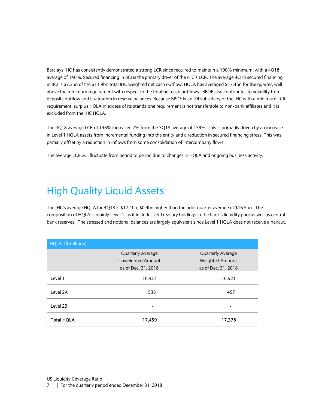Barclays IHC has consistently demonstrated a strong LCR since required to maintain a 100% minimum, with a 4Q18 average of 146%. Secured financing in BCI is the primary driver of the IHC's LCR. The average 4Q18 secured financing in BCI is \$7.3bn of the \$11.9bn total IHC weighted net cash outflow. HQLA has averaged \$17.4bn for the quarter, well above the minimum requirement with respect to the total net cash outflows. BBDE also contributes to volatility from deposits outflow and fluctuation in reserve balances. Because BBDE is an IDI subsidiary of the IHC with a minimum LCR requirement, surplus HQLA in excess of its standalone requirement is not transferable to non-bank affiliates and it is excluded from the IHC HQLA.

The 4Q18 average LCR of 146% increased 7% from the 3Q18 average of 139%. This is primarily driven by an increase in Level 1 HQLA assets from incremental funding into the entity and a reduction in secured financing stress. This was partially offset by a reduction in inflows from some consolidation of intercompany flows.

The average LCR will fluctuate from period to period due to changes in HQLA and ongoing business activity.

# <span id="page-6-0"></span>High Quality Liquid Assets

The IHC's average HQLA for 4Q18 is \$17.4bn, \$0.9bn higher than the prior quarter average of \$16.5bn. The composition of HQLA is mainly Level 1, as it includes US Treasury holdings in the bank's liquidity pool as well as central bank reserves. The stressed and notional balances are largely equivalent since Level 1 HQLA does not receive a haircut.

| HQLA (\$millions)        |                     |                          |  |
|--------------------------|---------------------|--------------------------|--|
| <b>Quarterly Average</b> |                     | <b>Quarterly Average</b> |  |
|                          | Unweighted Amount   | Weighted Amount          |  |
|                          | as of Dec. 31, 2018 | as of Dec. 31, 2018      |  |
| Level 1                  | 16,921              | 16,921                   |  |
| Level 2A                 | 538                 | 457                      |  |
| Level 2B                 |                     |                          |  |
| <b>Total HQLA</b>        | 17,459              | 17,378                   |  |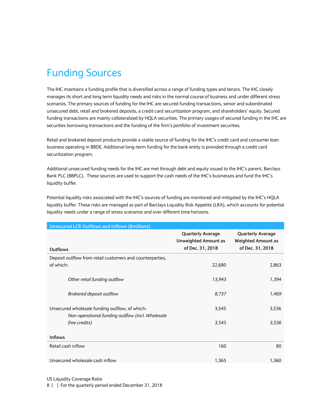# <span id="page-7-0"></span>Funding Sources

The IHC maintains a funding profile that is diversified across a range of funding types and tenors. The IHC closely manages its short and long term liquidity needs and risks in the normal course of business and under different stress scenarios. The primary sources of funding for the IHC are secured funding transactions, senior and subordinated unsecured debt, retail and brokered deposits, a credit card securitization program, and shareholders' equity. Secured funding transactions are mainly collateralized by HQLA securities. The primary usages of secured funding in the IHC are securities borrowing transactions and the funding of the firm's portfolio of investment securities.

Retail and brokered deposit products provide a stable source of funding for the IHC's credit card and consumer loan business operating in BBDE. Additional long-term funding for the bank entity is provided through a credit card securitization program.

Additional unsecured funding needs for the IHC are met through debt and equity issued to the IHC's parent, Barclays Bank PLC (BBPLC). These sources are used to support the cash needs of the IHC's businesses and fund the IHC's liquidity buffer.

Potential liquidity risks associated with the IHC's sources of funding are monitored and mitigated by the IHC's HQLA liquidity buffer. These risks are managed as part of Barclays Liquidity Risk Appetite (LRA), which accounts for potential liquidity needs under a range of stress scenarios and over different time horizons.

| <b>Unsecured LCR Outflows and Inflows (\$millions)</b>                                             |                                                                             |                                                                           |
|----------------------------------------------------------------------------------------------------|-----------------------------------------------------------------------------|---------------------------------------------------------------------------|
| Outflows                                                                                           | <b>Quarterly Average</b><br><b>Unweighted Amount as</b><br>of Dec. 31, 2018 | <b>Quarterly Average</b><br><b>Weighted Amount as</b><br>of Dec. 31, 2018 |
| Deposit outflow from retail customers and counterparties,                                          |                                                                             |                                                                           |
| of which:                                                                                          | 22,680                                                                      | 2,863                                                                     |
| Other retail funding outflow                                                                       | 13,943                                                                      | 1,394                                                                     |
| Brokered deposit outflow                                                                           | 8,737                                                                       | 1,469                                                                     |
| Unsecured wholesale funding outflow, of which:<br>Non-operational funding outflow (incl. Wholesale | 3,545                                                                       | 3,536                                                                     |
| free credits)                                                                                      | 3,545                                                                       | 3,536                                                                     |
| <b>Inflows</b>                                                                                     |                                                                             |                                                                           |
| Retail cash inflow                                                                                 | 160                                                                         | 80                                                                        |
| Unsecured wholesale cash inflow                                                                    | 1,365                                                                       | 1,360                                                                     |

US Liquidity Coverage Ratio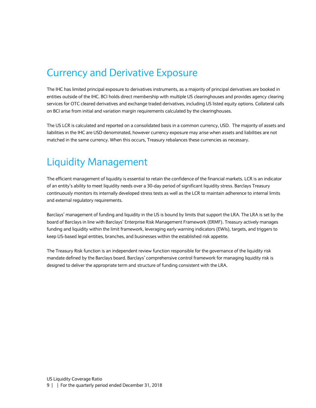#### <span id="page-8-0"></span>Currency and Derivative Exposure

The IHC has limited principal exposure to derivatives instruments, as a majority of principal derivatives are booked in entities outside of the IHC. BCI holds direct membership with multiple US clearinghouses and provides agency clearing services for OTC cleared derivatives and exchange traded derivatives, including US listed equity options. Collateral calls on BCI arise from initial and variation margin requirements calculated by the clearinghouses.

The US LCR is calculated and reported on a consolidated basis in a common currency, USD. The majority of assets and liabilities in the IHC are USD denominated, however currency exposure may arise when assets and liabilities are not matched in the same currency. When this occurs, Treasury rebalances these currencies as necessary.

## <span id="page-8-1"></span>Liquidity Management

The efficient management of liquidity is essential to retain the confidence of the financial markets. LCR is an indicator of an entity's ability to meet liquidity needs over a 30-day period of significant liquidity stress. Barclays Treasury continuously monitors its internally developed stress tests as well as the LCR to maintain adherence to internal limits and external regulatory requirements.

Barclays' management of funding and liquidity in the US is bound by limits that support the LRA. The LRA is set by the board of Barclays in line with Barclays' Enterprise Risk Management Framework (ERMF). Treasury actively manages funding and liquidity within the limit framework, leveraging early warning indicators (EWIs), targets, and triggers to keep US-based legal entities, branches, and businesses within the established risk appetite.

<span id="page-8-2"></span>The Treasury Risk function is an independent review function responsible for the governance of the liquidity risk mandate defined by the Barclays board. Barclays' comprehensive control framework for managing liquidity risk is designed to deliver the appropriate term and structure of funding consistent with the LRA.